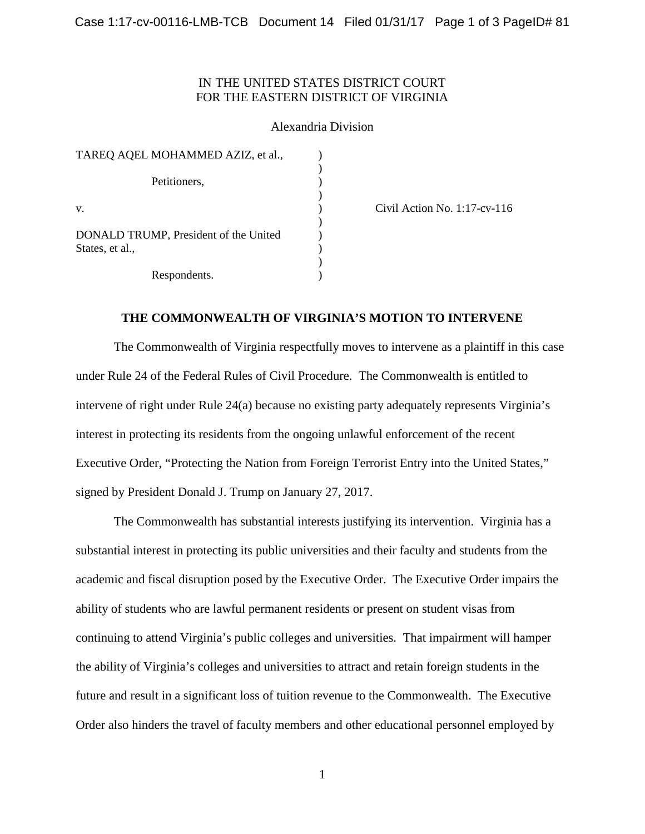# IN THE UNITED STATES DISTRICT COURT FOR THE EASTERN DISTRICT OF VIRGINIA

# Alexandria Division

| TAREQ AQEL MOHAMMED AZIZ, et al.,                        |  |
|----------------------------------------------------------|--|
| Petitioners,                                             |  |
| V.                                                       |  |
| DONALD TRUMP, President of the United<br>States, et al., |  |
| Respondents.                                             |  |

(a) Civil Action No. 1:17-cv-116

# **THE COMMONWEALTH OF VIRGINIA'S MOTION TO INTERVENE**

The Commonwealth of Virginia respectfully moves to intervene as a plaintiff in this case under Rule 24 of the Federal Rules of Civil Procedure. The Commonwealth is entitled to intervene of right under Rule 24(a) because no existing party adequately represents Virginia's interest in protecting its residents from the ongoing unlawful enforcement of the recent Executive Order, "Protecting the Nation from Foreign Terrorist Entry into the United States," signed by President Donald J. Trump on January 27, 2017.

The Commonwealth has substantial interests justifying its intervention. Virginia has a substantial interest in protecting its public universities and their faculty and students from the academic and fiscal disruption posed by the Executive Order. The Executive Order impairs the ability of students who are lawful permanent residents or present on student visas from continuing to attend Virginia's public colleges and universities. That impairment will hamper the ability of Virginia's colleges and universities to attract and retain foreign students in the future and result in a significant loss of tuition revenue to the Commonwealth. The Executive Order also hinders the travel of faculty members and other educational personnel employed by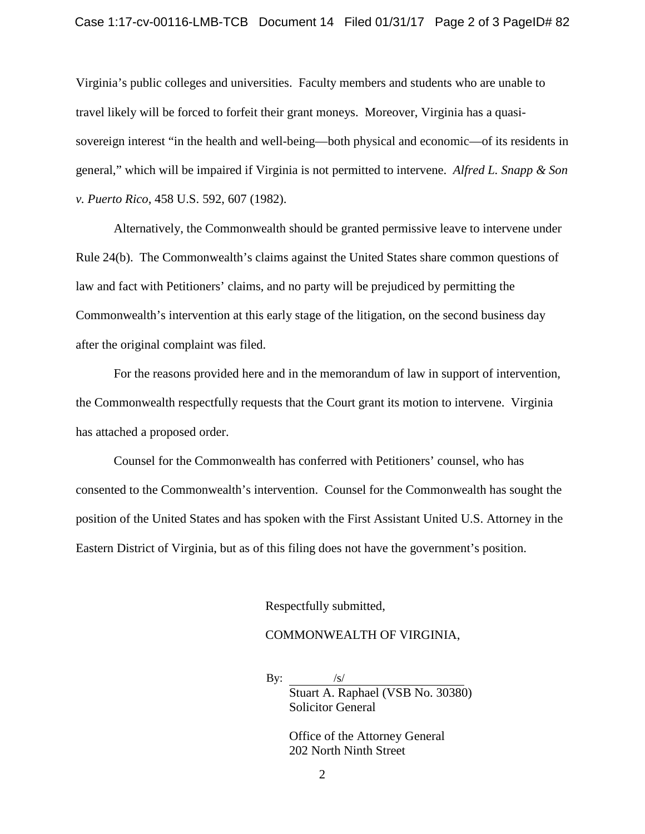#### Case 1:17-cv-00116-LMB-TCB Document 14 Filed 01/31/17 Page 2 of 3 PageID# 82

Virginia's public colleges and universities. Faculty members and students who are unable to travel likely will be forced to forfeit their grant moneys. Moreover, Virginia has a quasisovereign interest "in the health and well-being—both physical and economic—of its residents in general," which will be impaired if Virginia is not permitted to intervene. *Alfred L. Snapp & Son v. Puerto Rico*, 458 U.S. 592, 607 (1982).

Alternatively, the Commonwealth should be granted permissive leave to intervene under Rule 24(b). The Commonwealth's claims against the United States share common questions of law and fact with Petitioners' claims, and no party will be prejudiced by permitting the Commonwealth's intervention at this early stage of the litigation, on the second business day after the original complaint was filed.

For the reasons provided here and in the memorandum of law in support of intervention, the Commonwealth respectfully requests that the Court grant its motion to intervene. Virginia has attached a proposed order.

Counsel for the Commonwealth has conferred with Petitioners' counsel, who has consented to the Commonwealth's intervention. Counsel for the Commonwealth has sought the position of the United States and has spoken with the First Assistant United U.S. Attorney in the Eastern District of Virginia, but as of this filing does not have the government's position.

Respectfully submitted,

# COMMONWEALTH OF VIRGINIA,

By:  $/s/$ Stuart A. Raphael (VSB No. 30380) Solicitor General

> Office of the Attorney General 202 North Ninth Street